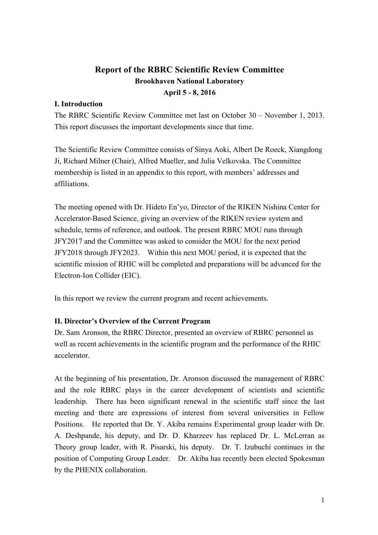# **Report of the RBRC Scientific Review Committee Brookhaven National Laboratory April 5 - 8, 2016**

# **I. Introduction**

The RBRC Scientific Review Committee met last on October 30 – November 1, 2013. This report discusses the important developments since that time.

The Scientific Review Committee consists of Sinya Aoki, Albert De Roeck, Xiangdong Ji, Richard Milner (Chair), Alfred Mueller, and Julia Velkovska. The Committee membership is listed in an appendix to this report, with members' addresses and affiliations.

The meeting opened with Dr. Hideto En'yo, Director of the RIKEN Nishina Center for Accelerator-Based Science, giving an overview of the RIKEN review system and schedule, terms of reference, and outlook. The present RBRC MOU runs through JFY2017 and the Committee was asked to consider the MOU for the next period JFY2018 through JFY2023. Within this next MOU period, it is expected that the scientific mission of RHIC will be completed and preparations will be advanced for the Electron-Ion Collider (EIC).

In this report we review the current program and recent achievements.

## **II. Director's Overview of the Current Program**

Dr. Sam Aronson, the RBRC Director, presented an overview of RBRC personnel as well as recent achievements in the scientific program and the performance of the RHIC accelerator.

At the beginning of his presentation, Dr. Aronson discussed the management of RBRC and the role RBRC plays in the career development of scientists and scientific leadership. There has been significant renewal in the scientific staff since the last meeting and there are expressions of interest from several universities in Fellow Positions. He reported that Dr. Y. Akiba remains Experimental group leader with Dr. A. Deshpande, his deputy, and Dr. D. Kharzeev has replaced Dr. L. McLerran as Theory group leader, with R. Pisarski, his deputy. Dr. T. Izubuchi continues in the position of Computing Group Leader. Dr. Akiba has recently been elected Spokesman by the PHENIX collaboration.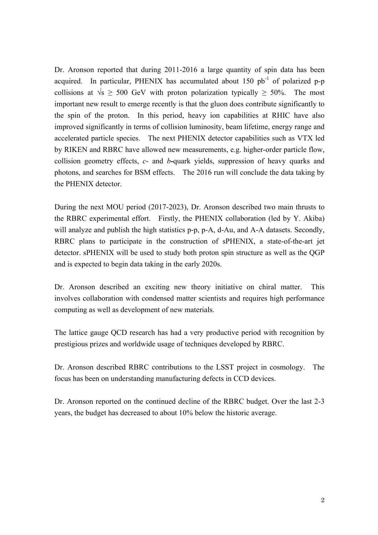Dr. Aronson reported that during 2011-2016 a large quantity of spin data has been acquired. In particular, PHENIX has accumulated about  $150$  pb<sup>-1</sup> of polarized p-p collisions at  $\sqrt{s} \geq 500$  GeV with proton polarization typically  $\geq 50\%$ . The most important new result to emerge recently is that the gluon does contribute significantly to the spin of the proton. In this period, heavy ion capabilities at RHIC have also improved significantly in terms of collision luminosity, beam lifetime, energy range and accelerated particle species. The next PHENIX detector capabilities such as VTX led by RIKEN and RBRC have allowed new measurements, e.g. higher-order particle flow, collision geometry effects, *c*- and *b***-**quark yields, suppression of heavy quarks and photons, and searches for BSM effects. The 2016 run will conclude the data taking by the PHENIX detector.

During the next MOU period (2017-2023), Dr. Aronson described two main thrusts to the RBRC experimental effort. Firstly, the PHENIX collaboration (led by Y. Akiba) will analyze and publish the high statistics p-p, p-A, d-Au, and A-A datasets. Secondly, RBRC plans to participate in the construction of sPHENIX, a state-of-the-art jet detector. sPHENIX will be used to study both proton spin structure as well as the QGP and is expected to begin data taking in the early 2020s.

Dr. Aronson described an exciting new theory initiative on chiral matter. This involves collaboration with condensed matter scientists and requires high performance computing as well as development of new materials.

The lattice gauge QCD research has had a very productive period with recognition by prestigious prizes and worldwide usage of techniques developed by RBRC.

Dr. Aronson described RBRC contributions to the LSST project in cosmology. The focus has been on understanding manufacturing defects in CCD devices.

Dr. Aronson reported on the continued decline of the RBRC budget. Over the last 2-3 years, the budget has decreased to about 10% below the historic average.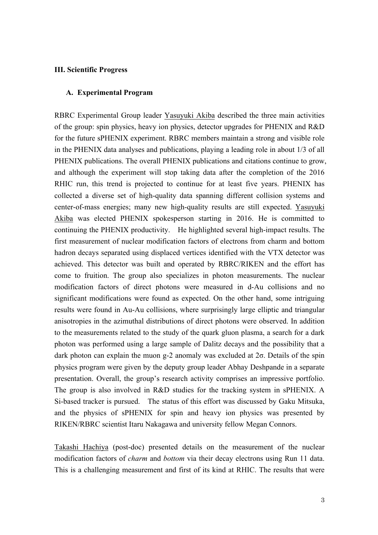#### **III. Scientific Progress**

#### **A. Experimental Program**

RBRC Experimental Group leader Yasuyuki Akiba described the three main activities of the group: spin physics, heavy ion physics, detector upgrades for PHENIX and R&D for the future sPHENIX experiment. RBRC members maintain a strong and visible role in the PHENIX data analyses and publications, playing a leading role in about 1/3 of all PHENIX publications. The overall PHENIX publications and citations continue to grow, and although the experiment will stop taking data after the completion of the 2016 RHIC run, this trend is projected to continue for at least five years. PHENIX has collected a diverse set of high-quality data spanning different collision systems and center-of-mass energies; many new high-quality results are still expected. Yasuyuki Akiba was elected PHENIX spokesperson starting in 2016. He is committed to continuing the PHENIX productivity. He highlighted several high-impact results. The first measurement of nuclear modification factors of electrons from charm and bottom hadron decays separated using displaced vertices identified with the VTX detector was achieved. This detector was built and operated by RBRC/RIKEN and the effort has come to fruition. The group also specializes in photon measurements. The nuclear modification factors of direct photons were measured in d-Au collisions and no significant modifications were found as expected. On the other hand, some intriguing results were found in Au-Au collisions, where surprisingly large elliptic and triangular anisotropies in the azimuthal distributions of direct photons were observed. In addition to the measurements related to the study of the quark gluon plasma, a search for a dark photon was performed using a large sample of Dalitz decays and the possibility that a dark photon can explain the muon g-2 anomaly was excluded at 2σ. Details of the spin physics program were given by the deputy group leader Abhay Deshpande in a separate presentation. Overall, the group's research activity comprises an impressive portfolio. The group is also involved in R&D studies for the tracking system in sPHENIX. A Si-based tracker is pursued. The status of this effort was discussed by Gaku Mitsuka, and the physics of sPHENIX for spin and heavy ion physics was presented by RIKEN/RBRC scientist Itaru Nakagawa and university fellow Megan Connors.

Takashi Hachiya (post-doc) presented details on the measurement of the nuclear modification factors of *charm* and *bottom* via their decay electrons using Run 11 data. This is a challenging measurement and first of its kind at RHIC. The results that were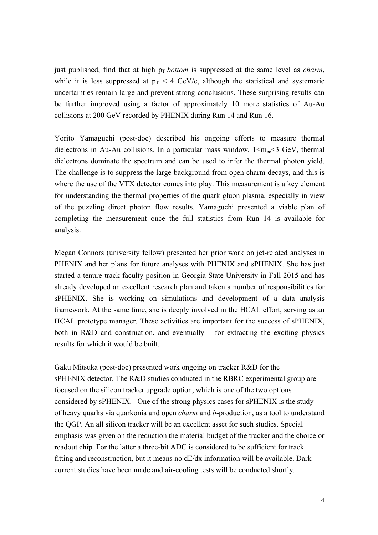just published, find that at high  $p<sub>T</sub>$  *bottom* is suppressed at the same level as *charm*, while it is less suppressed at  $p_T < 4$  GeV/c, although the statistical and systematic uncertainties remain large and prevent strong conclusions. These surprising results can be further improved using a factor of approximately 10 more statistics of Au-Au collisions at 200 GeV recorded by PHENIX during Run 14 and Run 16.

Yorito Yamaguchi (post-doc) described his ongoing efforts to measure thermal dielectrons in Au-Au collisions. In a particular mass window,  $1 \le m_{ee} \le 3$  GeV, thermal dielectrons dominate the spectrum and can be used to infer the thermal photon yield. The challenge is to suppress the large background from open charm decays, and this is where the use of the VTX detector comes into play. This measurement is a key element for understanding the thermal properties of the quark gluon plasma, especially in view of the puzzling direct photon flow results. Yamaguchi presented a viable plan of completing the measurement once the full statistics from Run 14 is available for analysis.

Megan Connors (university fellow) presented her prior work on jet-related analyses in PHENIX and her plans for future analyses with PHENIX and sPHENIX. She has just started a tenure-track faculty position in Georgia State University in Fall 2015 and has already developed an excellent research plan and taken a number of responsibilities for sPHENIX. She is working on simulations and development of a data analysis framework. At the same time, she is deeply involved in the HCAL effort, serving as an HCAL prototype manager. These activities are important for the success of sPHENIX, both in R&D and construction, and eventually – for extracting the exciting physics results for which it would be built.

Gaku Mitsuka (post-doc) presented work ongoing on tracker R&D for the sPHENIX detector. The R&D studies conducted in the RBRC experimental group are focused on the silicon tracker upgrade option, which is one of the two options considered by sPHENIX. One of the strong physics cases for sPHENIX is the study of heavy quarks via quarkonia and open *charm* and *b*-production, as a tool to understand the QGP. An all silicon tracker will be an excellent asset for such studies. Special emphasis was given on the reduction the material budget of the tracker and the choice or readout chip. For the latter a three-bit ADC is considered to be sufficient for track fitting and reconstruction, but it means no dE/dx information will be available. Dark current studies have been made and air-cooling tests will be conducted shortly.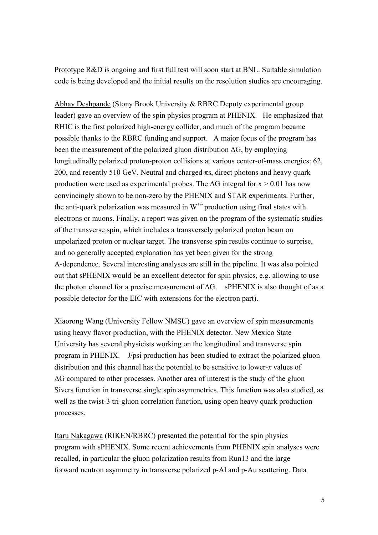Prototype R&D is ongoing and first full test will soon start at BNL. Suitable simulation code is being developed and the initial results on the resolution studies are encouraging.

Abhay Deshpande (Stony Brook University & RBRC Deputy experimental group leader) gave an overview of the spin physics program at PHENIX. He emphasized that RHIC is the first polarized high-energy collider, and much of the program became possible thanks to the RBRC funding and support. A major focus of the program has been the measurement of the polarized gluon distribution  $\Delta G$ , by employing longitudinally polarized proton-proton collisions at various center-of-mass energies: 62, 200, and recently 510 GeV. Neutral and charged  $\pi s$ , direct photons and heavy quark production were used as experimental probes. The  $\Delta G$  integral for  $x > 0.01$  has now convincingly shown to be non-zero by the PHENIX and STAR experiments. Further, the anti-quark polarization was measured in  $W^{+/-}$  production using final states with electrons or muons. Finally, a report was given on the program of the systematic studies of the transverse spin, which includes a transversely polarized proton beam on unpolarized proton or nuclear target. The transverse spin results continue to surprise, and no generally accepted explanation has yet been given for the strong A-dependence. Several interesting analyses are still in the pipeline. It was also pointed out that sPHENIX would be an excellent detector for spin physics, e.g. allowing to use the photon channel for a precise measurement of  $\Delta G$ . sPHENIX is also thought of as a possible detector for the EIC with extensions for the electron part).

Xiaorong Wang (University Fellow NMSU) gave an overview of spin measurements using heavy flavor production, with the PHENIX detector. New Mexico State University has several physicists working on the longitudinal and transverse spin program in PHENIX. J/psi production has been studied to extract the polarized gluon distribution and this channel has the potential to be sensitive to lower-*x* values of ΔG compared to other processes. Another area of interest is the study of the gluon Sivers function in transverse single spin asymmetries. This function was also studied, as well as the twist-3 tri-gluon correlation function, using open heavy quark production processes.

Itaru Nakagawa (RIKEN/RBRC) presented the potential for the spin physics program with sPHENIX. Some recent achievements from PHENIX spin analyses were recalled, in particular the gluon polarization results from Run13 and the large forward neutron asymmetry in transverse polarized p-Al and p-Au scattering. Data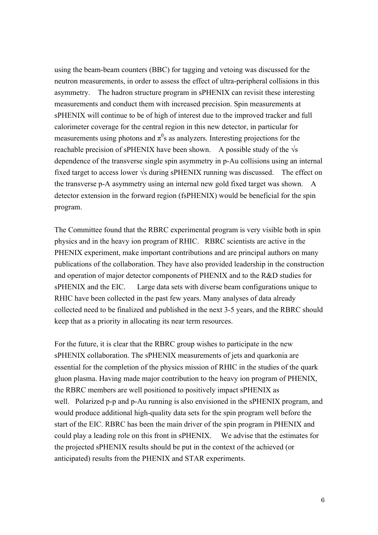using the beam-beam counters (BBC) for tagging and vetoing was discussed for the neutron measurements, in order to assess the effect of ultra-peripheral collisions in this asymmetry. The hadron structure program in sPHENIX can revisit these interesting measurements and conduct them with increased precision. Spin measurements at sPHENIX will continue to be of high of interest due to the improved tracker and full calorimeter coverage for the central region in this new detector, in particular for measurements using photons and  $\pi^0$ s as analyzers. Interesting projections for the reachable precision of sPHENIX have been shown. A possible study of the  $\sqrt{s}$ dependence of the transverse single spin asymmetry in p-Au collisions using an internal fixed target to access lower  $\sqrt{s}$  during sPHENIX running was discussed. The effect on the transverse p-A asymmetry using an internal new gold fixed target was shown. A detector extension in the forward region (fsPHENIX) would be beneficial for the spin program.

The Committee found that the RBRC experimental program is very visible both in spin physics and in the heavy ion program of RHIC. RBRC scientists are active in the PHENIX experiment, make important contributions and are principal authors on many publications of the collaboration. They have also provided leadership in the construction and operation of major detector components of PHENIX and to the R&D studies for sPHENIX and the EIC. Large data sets with diverse beam configurations unique to RHIC have been collected in the past few years. Many analyses of data already collected need to be finalized and published in the next 3-5 years, and the RBRC should keep that as a priority in allocating its near term resources.

For the future, it is clear that the RBRC group wishes to participate in the new sPHENIX collaboration. The sPHENIX measurements of jets and quarkonia are essential for the completion of the physics mission of RHIC in the studies of the quark gluon plasma. Having made major contribution to the heavy ion program of PHENIX, the RBRC members are well positioned to positively impact sPHENIX as well. Polarized p-p and p-Au running is also envisioned in the sPHENIX program, and would produce additional high-quality data sets for the spin program well before the start of the EIC. RBRC has been the main driver of the spin program in PHENIX and could play a leading role on this front in sPHENIX. We advise that the estimates for the projected sPHENIX results should be put in the context of the achieved (or anticipated) results from the PHENIX and STAR experiments.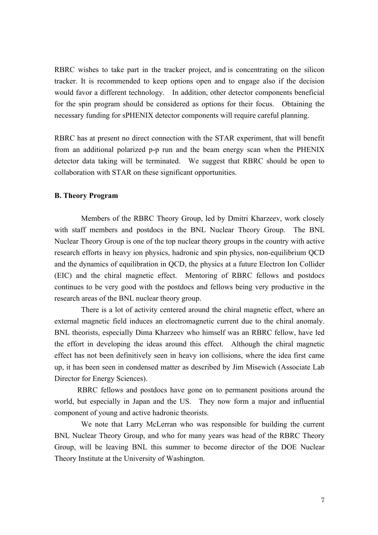RBRC wishes to take part in the tracker project, and is concentrating on the silicon tracker. It is recommended to keep options open and to engage also if the decision would favor a different technology. In addition, other detector components beneficial for the spin program should be considered as options for their focus. Obtaining the necessary funding for sPHENIX detector components will require careful planning.

RBRC has at present no direct connection with the STAR experiment, that will benefit from an additional polarized p-p run and the beam energy scan when the PHENIX detector data taking will be terminated. We suggest that RBRC should be open to collaboration with STAR on these significant opportunities.

### **B. Theory Program**

Members of the RBRC Theory Group, led by Dmitri Kharzeev, work closely with staff members and postdocs in the BNL Nuclear Theory Group. The BNL Nuclear Theory Group is one of the top nuclear theory groups in the country with active research efforts in heavy ion physics, hadronic and spin physics, non-equilibrium QCD and the dynamics of equilibration in QCD, the physics at a future Electron Ion Collider (EIC) and the chiral magnetic effect. Mentoring of RBRC fellows and postdocs continues to be very good with the postdocs and fellows being very productive in the research areas of the BNL nuclear theory group.

There is a lot of activity centered around the chiral magnetic effect, where an external magnetic field induces an electromagnetic current due to the chiral anomaly. BNL theorists, especially Dima Kharzeev who himself was an RBRC fellow, have led the effort in developing the ideas around this effect. Although the chiral magnetic effect has not been definitively seen in heavy ion collisions, where the idea first came up, it has been seen in condensed matter as described by Jim Misewich (Associate Lab Director for Energy Sciences).

RBRC fellows and postdocs have gone on to permanent positions around the world, but especially in Japan and the US. They now form a major and influential component of young and active hadronic theorists.

We note that Larry McLerran who was responsible for building the current BNL Nuclear Theory Group, and who for many years was head of the RBRC Theory Group, will be leaving BNL this summer to become director of the DOE Nuclear Theory Institute at the University of Washington.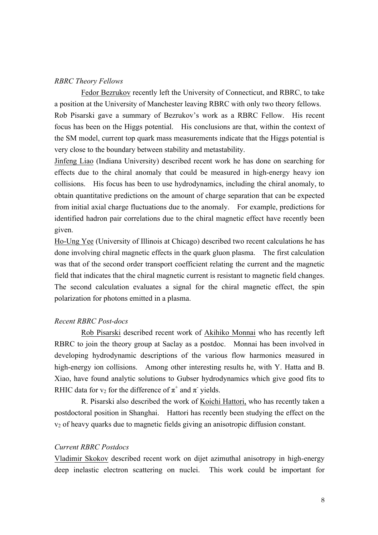## *RBRC Theory Fellows*

Fedor Bezrukov recently left the University of Connecticut, and RBRC, to take a position at the University of Manchester leaving RBRC with only two theory fellows. Rob Pisarski gave a summary of Bezrukov's work as a RBRC Fellow. His recent focus has been on the Higgs potential. His conclusions are that, within the context of the SM model, current top quark mass measurements indicate that the Higgs potential is very close to the boundary between stability and metastability.

Jinfeng Liao (Indiana University) described recent work he has done on searching for effects due to the chiral anomaly that could be measured in high-energy heavy ion collisions. His focus has been to use hydrodynamics, including the chiral anomaly, to obtain quantitative predictions on the amount of charge separation that can be expected from initial axial charge fluctuations due to the anomaly. For example, predictions for identified hadron pair correlations due to the chiral magnetic effect have recently been given.

Ho-Ung Yee (University of Illinois at Chicago) described two recent calculations he has done involving chiral magnetic effects in the quark gluon plasma. The first calculation was that of the second order transport coefficient relating the current and the magnetic field that indicates that the chiral magnetic current is resistant to magnetic field changes. The second calculation evaluates a signal for the chiral magnetic effect, the spin polarization for photons emitted in a plasma.

#### *Recent RBRC Post-docs*

Rob Pisarski described recent work of Akihiko Monnai who has recently left RBRC to join the theory group at Saclay as a postdoc. Monnai has been involved in developing hydrodynamic descriptions of the various flow harmonics measured in high-energy ion collisions. Among other interesting results he, with Y. Hatta and B. Xiao, have found analytic solutions to Gubser hydrodynamics which give good fits to RHIC data for  $v_2$  for the difference of  $\pi^+$  and  $\pi^-$  yields.

R. Pisarski also described the work of Koichi Hattori, who has recently taken a postdoctoral position in Shanghai. Hattori has recently been studying the effect on the  $v<sub>2</sub>$  of heavy quarks due to magnetic fields giving an anisotropic diffusion constant.

### *Current RBRC Postdocs*

Vladimir Skokov described recent work on dijet azimuthal anisotropy in high-energy deep inelastic electron scattering on nuclei. This work could be important for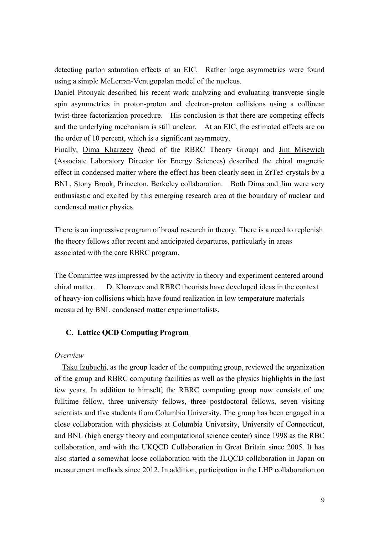detecting parton saturation effects at an EIC. Rather large asymmetries were found using a simple McLerran-Venugopalan model of the nucleus.

Daniel Pitonyak described his recent work analyzing and evaluating transverse single spin asymmetries in proton-proton and electron-proton collisions using a collinear twist-three factorization procedure. His conclusion is that there are competing effects and the underlying mechanism is still unclear. At an EIC, the estimated effects are on the order of 10 percent, which is a significant asymmetry.

Finally, Dima Kharzeev (head of the RBRC Theory Group) and Jim Misewich (Associate Laboratory Director for Energy Sciences) described the chiral magnetic effect in condensed matter where the effect has been clearly seen in ZrTe5 crystals by a BNL, Stony Brook, Princeton, Berkeley collaboration. Both Dima and Jim were very enthusiastic and excited by this emerging research area at the boundary of nuclear and condensed matter physics.

There is an impressive program of broad research in theory. There is a need to replenish the theory fellows after recent and anticipated departures, particularly in areas associated with the core RBRC program.

The Committee was impressed by the activity in theory and experiment centered around chiral matter. D. Kharzeev and RBRC theorists have developed ideas in the context of heavy-ion collisions which have found realization in low temperature materials measured by BNL condensed matter experimentalists.

## **C. Lattice QCD Computing Program**

#### *Overview*

 Taku Izubuchi, as the group leader of the computing group, reviewed the organization of the group and RBRC computing facilities as well as the physics highlights in the last few years. In addition to himself, the RBRC computing group now consists of one fulltime fellow, three university fellows, three postdoctoral fellows, seven visiting scientists and five students from Columbia University. The group has been engaged in a close collaboration with physicists at Columbia University, University of Connecticut, and BNL (high energy theory and computational science center) since 1998 as the RBC collaboration, and with the UKQCD Collaboration in Great Britain since 2005. It has also started a somewhat loose collaboration with the JLQCD collaboration in Japan on measurement methods since 2012. In addition, participation in the LHP collaboration on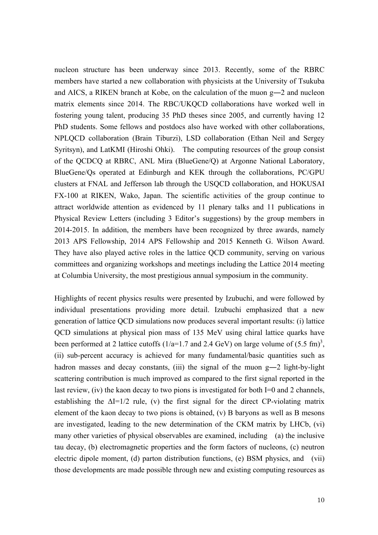nucleon structure has been underway since 2013. Recently, some of the RBRC members have started a new collaboration with physicists at the University of Tsukuba and AICS, a RIKEN branch at Kobe, on the calculation of the muon g―2 and nucleon matrix elements since 2014. The RBC/UKQCD collaborations have worked well in fostering young talent, producing 35 PhD theses since 2005, and currently having 12 PhD students. Some fellows and postdocs also have worked with other collaborations, NPLQCD collaboration (Brain Tiburzi), LSD collaboration (Ethan Neil and Sergey Syritsyn), and LatKMI (Hiroshi Ohki). The computing resources of the group consist of the QCDCQ at RBRC, ANL Mira (BlueGene/Q) at Argonne National Laboratory, BlueGene/Qs operated at Edinburgh and KEK through the collaborations, PC/GPU clusters at FNAL and Jefferson lab through the USQCD collaboration, and HOKUSAI FX-100 at RIKEN, Wako, Japan. The scientific activities of the group continue to attract worldwide attention as evidenced by 11 plenary talks and 11 publications in Physical Review Letters (including 3 Editor's suggestions) by the group members in 2014-2015. In addition, the members have been recognized by three awards, namely 2013 APS Fellowship, 2014 APS Fellowship and 2015 Kenneth G. Wilson Award. They have also played active roles in the lattice QCD community, serving on various committees and organizing workshops and meetings including the Lattice 2014 meeting at Columbia University, the most prestigious annual symposium in the community.

Highlights of recent physics results were presented by Izubuchi, and were followed by individual presentations providing more detail. Izubuchi emphasized that a new generation of lattice QCD simulations now produces several important results: (i) lattice QCD simulations at physical pion mass of 135 MeV using chiral lattice quarks have been performed at 2 lattice cutoffs  $(1/a=1.7 \text{ and } 2.4 \text{ GeV})$  on large volume of  $(5.5 \text{ fm})^3$ , (ii) sub-percent accuracy is achieved for many fundamental/basic quantities such as hadron masses and decay constants, (iii) the signal of the muon g-2 light-by-light scattering contribution is much improved as compared to the first signal reported in the last review, (iv) the kaon decay to two pions is investigated for both I=0 and 2 channels, establishing the  $\Delta I=1/2$  rule, (v) the first signal for the direct CP-violating matrix element of the kaon decay to two pions is obtained, (v) B baryons as well as B mesons are investigated, leading to the new determination of the CKM matrix by LHCb, (vi) many other varieties of physical observables are examined, including (a) the inclusive tau decay, (b) electromagnetic properties and the form factors of nucleons, (c) neutron electric dipole moment, (d) parton distribution functions, (e) BSM physics, and (vii) those developments are made possible through new and existing computing resources as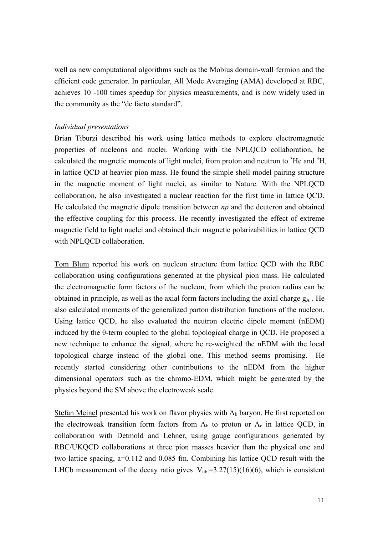well as new computational algorithms such as the Mobius domain-wall fermion and the efficient code generator. In particular, All Mode Averaging (AMA) developed at RBC, achieves 10 -100 times speedup for physics measurements, and is now widely used in the community as the "de facto standard".

#### *Individual presentations*

Brian Tiburzi described his work using lattice methods to explore electromagnetic properties of nucleons and nuclei. Working with the NPLQCD collaboration, he calculated the magnetic moments of light nuclei, from proton and neutron to  ${}^{3}$ He and  ${}^{3}$ H, in lattice QCD at heavier pion mass. He found the simple shell-model pairing structure in the magnetic moment of light nuclei, as similar to Nature. With the NPLQCD collaboration, he also investigated a nuclear reaction for the first time in lattice QCD. He calculated the magnetic dipole transition between *np* and the deuteron and obtained the effective coupling for this process. He recently investigated the effect of extreme magnetic field to light nuclei and obtained their magnetic polarizabilities in lattice QCD with NPLQCD collaboration.

Tom Blum reported his work on nucleon structure from lattice QCD with the RBC collaboration using configurations generated at the physical pion mass. He calculated the electromagnetic form factors of the nucleon, from which the proton radius can be obtained in principle, as well as the axial form factors including the axial charge  $g_A$ . He also calculated moments of the generalized parton distribution functions of the nucleon. Using lattice QCD, he also evaluated the neutron electric dipole moment (nEDM) induced by the θ-term coupled to the global topological charge in QCD. He proposed a new technique to enhance the signal, where he re-weighted the nEDM with the local topological charge instead of the global one. This method seems promising. He recently started considering other contributions to the nEDM from the higher dimensional operators such as the chromo-EDM, which might be generated by the physics beyond the SM above the electroweak scale.

Stefan Meinel presented his work on flavor physics with  $\Lambda_b$  baryon. He first reported on the electroweak transition form factors from  $\Lambda_b$  to proton or  $\Lambda_c$  in lattice QCD, in collaboration with Detmold and Lehner, using gauge configurations generated by RBC/UKQCD collaborations at three pion masses heavier than the physical one and two lattice spacing, a=0.112 and 0.085 fm. Combining his lattice QCD result with the LHCb measurement of the decay ratio gives  $|V_{ub}|=3.27(15)(16)(6)$ , which is consistent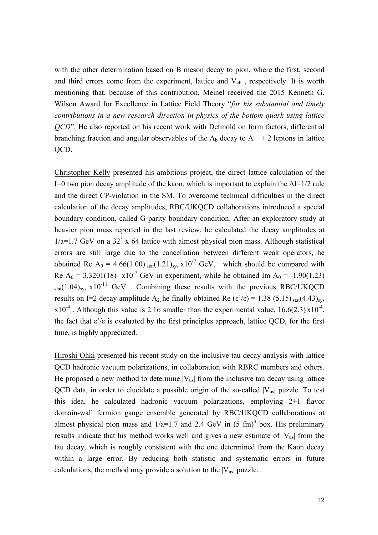with the other determination based on B meson decay to pion, where the first, second and third errors come from the experiment, lattice and  $V_{cb}$ , respectively. It is worth mentioning that, because of this contribution, Meinel received the 2015 Kenneth G. Wilson Award for Excellence in Lattice Field Theory "*for his substantial and timely contributions in a new research direction in physics of the bottom quark using lattice QCD*". He also reported on his recent work with Detmold on form factors, differential branching fraction and angular observables of the  $\Lambda_b$  decay to  $\Lambda$  + 2 leptons in lattice QCD.

Christopher Kelly presented his ambitious project, the direct lattice calculation of the I=0 two pion decay amplitude of the kaon, which is important to explain the  $\Delta I=1/2$  rule and the direct CP-violation in the SM. To overcome technical difficulties in the direct calculation of the decay amplitudes, RBC/UKQCD collaborations introduced a special boundary condition, called G-parity boundary condition. After an exploratory study at heavier pion mass reported in the last review, he calculated the decay amplitudes at  $1/a=1.7$  GeV on a 32<sup>3</sup> x 64 lattice with almost physical pion mass. Although statistical errors are still large due to the cancellation between different weak operators, he obtained Re A<sub>0</sub> = 4.66(1.00) stat(1.21)<sub>sys</sub> x10<sup>-7</sup> GeV, which should be compared with Re A<sub>0</sub> = 3.3201(18) x10<sup>-7</sup> GeV in experiment, while he obtained Im A<sub>0</sub> = -1.90(1.23)  $_{\text{stat}}(1.04)_{\text{sys}}$  x10<sup>-11</sup> GeV. Combining these results with the previous RBC/UKQCD results on I=2 decay amplitude A<sub>2</sub>, he finally obtained Re ( $\varepsilon$ '/ $\varepsilon$ ) = 1.38 (5.15) stat(4.43)<sub>sys</sub>  $x10^{-4}$ . Although this value is 2.1 $\sigma$  smaller than the experimental value, 16.6(2.3)  $x10^{-4}$ , the fact that  $\varepsilon$ '/ $\varepsilon$  is evaluated by the first principles approach, lattice QCD, for the first time, is highly appreciated.

Hiroshi Ohki presented his recent study on the inclusive tau decay analysis with lattice QCD hadronic vacuum polarizations, in collaboration with RBRC members and others. He proposed a new method to determine  $|V_{us}|$  from the inclusive tau decay using lattice QCD data, in order to elucidate a possible origin of the so-called  $|V_{us}|$  puzzle. To test this idea, he calculated hadronic vacuum polarizations, employing 2+1 flavor domain-wall fermion gauge ensemble generated by RBC/UKQCD collaborations at almost physical pion mass and  $1/a=1.7$  and 2.4 GeV in  $(5 \text{ fm})^3$  box. His preliminary results indicate that his method works well and gives a new estimate of  $|V_{us}|$  from the tau decay, which is roughly consistent with the one determined from the Kaon decay within a large error. By reducing both statistic and systematic errors in future calculations, the method may provide a solution to the  $|V_{us}|$  puzzle.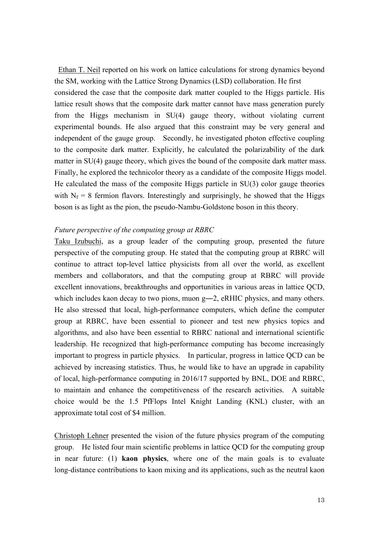Ethan T. Neil reported on his work on lattice calculations for strong dynamics beyond the SM, working with the Lattice Strong Dynamics (LSD) collaboration. He first considered the case that the composite dark matter coupled to the Higgs particle. His lattice result shows that the composite dark matter cannot have mass generation purely from the Higgs mechanism in SU(4) gauge theory, without violating current experimental bounds. He also argued that this constraint may be very general and independent of the gauge group. Secondly, he investigated photon effective coupling to the composite dark matter. Explicitly, he calculated the polarizability of the dark matter in SU(4) gauge theory, which gives the bound of the composite dark matter mass. Finally, he explored the technicolor theory as a candidate of the composite Higgs model. He calculated the mass of the composite Higgs particle in SU(3) color gauge theories with  $N_f = 8$  fermion flavors. Interestingly and surprisingly, he showed that the Higgs boson is as light as the pion, the pseudo-Nambu-Goldstone boson in this theory.

### *Future perspective of the computing group at RBRC*

Taku Izubuchi, as a group leader of the computing group, presented the future perspective of the computing group. He stated that the computing group at RBRC will continue to attract top-level lattice physicists from all over the world, as excellent members and collaborators, and that the computing group at RBRC will provide excellent innovations, breakthroughs and opportunities in various areas in lattice QCD, which includes kaon decay to two pions, muon g—2, eRHIC physics, and many others. He also stressed that local, high-performance computers, which define the computer group at RBRC, have been essential to pioneer and test new physics topics and algorithms, and also have been essential to RBRC national and international scientific leadership. He recognized that high-performance computing has become increasingly important to progress in particle physics. In particular, progress in lattice QCD can be achieved by increasing statistics. Thus, he would like to have an upgrade in capability of local, high-performance computing in 2016/17 supported by BNL, DOE and RBRC, to maintain and enhance the competitiveness of the research activities. A suitable choice would be the 1.5 PfFlops Intel Knight Landing (KNL) cluster, with an approximate total cost of \$4 million.

Christoph Lehner presented the vision of the future physics program of the computing group. He listed four main scientific problems in lattice QCD for the computing group in near future: (1) **kaon physics**, where one of the main goals is to evaluate long-distance contributions to kaon mixing and its applications, such as the neutral kaon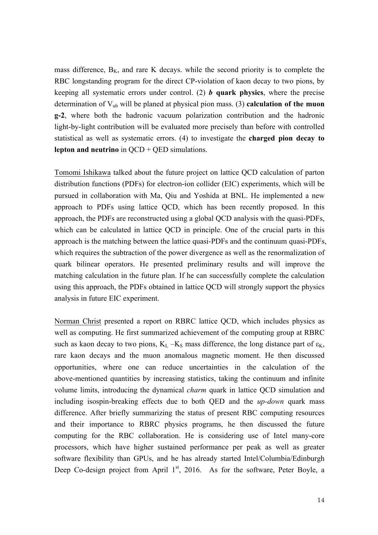mass difference,  $B_K$ , and rare K decays. while the second priority is to complete the RBC longstanding program for the direct CP-violation of kaon decay to two pions, by keeping all systematic errors under control. (2) *b* **quark physics**, where the precise determination of Vub will be planed at physical pion mass. (3) **calculation of the muon g-2**, where both the hadronic vacuum polarization contribution and the hadronic light-by-light contribution will be evaluated more precisely than before with controlled statistical as well as systematic errors. (4) to investigate the **charged pion decay to lepton and neutrino** in QCD + QED simulations.

Tomomi Ishikawa talked about the future project on lattice QCD calculation of parton distribution functions (PDFs) for electron-ion collider (EIC) experiments, which will be pursued in collaboration with Ma, Qiu and Yoshida at BNL. He implemented a new approach to PDFs using lattice QCD, which has been recently proposed. In this approach, the PDFs are reconstructed using a global QCD analysis with the quasi-PDFs, which can be calculated in lattice QCD in principle. One of the crucial parts in this approach is the matching between the lattice quasi-PDFs and the continuum quasi-PDFs, which requires the subtraction of the power divergence as well as the renormalization of quark bilinear operators. He presented preliminary results and will improve the matching calculation in the future plan. If he can successfully complete the calculation using this approach, the PDFs obtained in lattice QCD will strongly support the physics analysis in future EIC experiment.

Norman Christ presented a report on RBRC lattice QCD, which includes physics as well as computing. He first summarized achievement of the computing group at RBRC such as kaon decay to two pions,  $K_L - K_S$  mass difference, the long distance part of  $\varepsilon_K$ , rare kaon decays and the muon anomalous magnetic moment. He then discussed opportunities, where one can reduce uncertainties in the calculation of the above-mentioned quantities by increasing statistics, taking the continuum and infinite volume limits, introducing the dynamical *charm* quark in lattice QCD simulation and including isospin-breaking effects due to both QED and the *up-down* quark mass difference. After briefly summarizing the status of present RBC computing resources and their importance to RBRC physics programs, he then discussed the future computing for the RBC collaboration. He is considering use of Intel many-core processors, which have higher sustained performance per peak as well as greater software flexibility than GPUs, and he has already started Intel/Columbia/Edinburgh Deep Co-design project from April  $1<sup>st</sup>$ , 2016. As for the software, Peter Boyle, a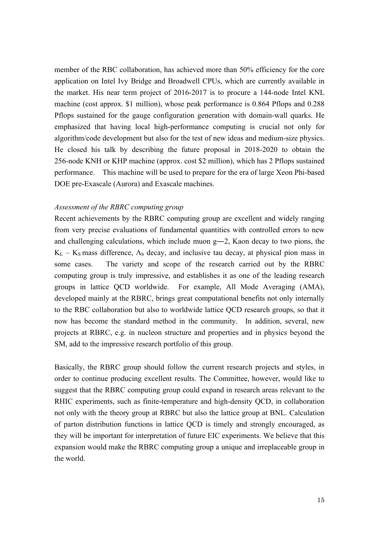member of the RBC collaboration, has achieved more than 50% efficiency for the core application on Intel Ivy Bridge and Broadwell CPUs, which are currently available in the market. His near term project of 2016-2017 is to procure a 144-node Intel KNL machine (cost approx. \$1 million), whose peak performance is 0.864 Pflops and 0.288 Pflops sustained for the gauge configuration generation with domain-wall quarks. He emphasized that having local high-performance computing is crucial not only for algorithm/code development but also for the test of new ideas and medium-size physics. He closed his talk by describing the future proposal in 2018-2020 to obtain the 256-node KNH or KHP machine (approx. cost \$2 million), which has 2 Pflops sustained performance. This machine will be used to prepare for the era of large Xeon Phi-based DOE pre-Exascale (Aurora) and Exascale machines.

## *Assessment of the RBRC computing group*

Recent achievements by the RBRC computing group are excellent and widely ranging from very precise evaluations of fundamental quantities with controlled errors to new and challenging calculations, which include muon g―2, Kaon decay to two pions, the  $K_L - K_S$  mass difference,  $\Lambda_b$  decay, and inclusive tau decay, at physical pion mass in some cases. The variety and scope of the research carried out by the RBRC computing group is truly impressive, and establishes it as one of the leading research groups in lattice QCD worldwide. For example, All Mode Averaging (AMA), developed mainly at the RBRC, brings great computational benefits not only internally to the RBC collaboration but also to worldwide lattice QCD research groups, so that it now has become the standard method in the community. In addition, several, new projects at RBRC, e.g. in nucleon structure and properties and in physics beyond the SM, add to the impressive research portfolio of this group.

Basically, the RBRC group should follow the current research projects and styles, in order to continue producing excellent results. The Committee, however, would like to suggest that the RBRC computing group could expand in research areas relevant to the RHIC experiments, such as finite-temperature and high-density QCD, in collaboration not only with the theory group at RBRC but also the lattice group at BNL. Calculation of parton distribution functions in lattice QCD is timely and strongly encouraged, as they will be important for interpretation of future EIC experiments. We believe that this expansion would make the RBRC computing group a unique and irreplaceable group in the world.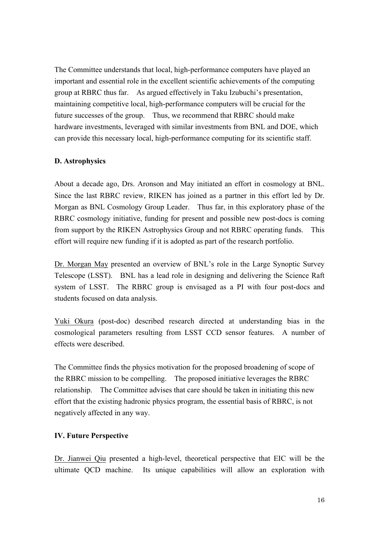The Committee understands that local, high-performance computers have played an important and essential role in the excellent scientific achievements of the computing group at RBRC thus far. As argued effectively in Taku Izubuchi's presentation, maintaining competitive local, high-performance computers will be crucial for the future successes of the group. Thus, we recommend that RBRC should make hardware investments, leveraged with similar investments from BNL and DOE, which can provide this necessary local, high-performance computing for its scientific staff.

## **D. Astrophysics**

About a decade ago, Drs. Aronson and May initiated an effort in cosmology at BNL. Since the last RBRC review, RIKEN has joined as a partner in this effort led by Dr. Morgan as BNL Cosmology Group Leader. Thus far, in this exploratory phase of the RBRC cosmology initiative, funding for present and possible new post-docs is coming from support by the RIKEN Astrophysics Group and not RBRC operating funds. This effort will require new funding if it is adopted as part of the research portfolio.

Dr. Morgan May presented an overview of BNL's role in the Large Synoptic Survey Telescope (LSST). BNL has a lead role in designing and delivering the Science Raft system of LSST. The RBRC group is envisaged as a PI with four post-docs and students focused on data analysis.

Yuki Okura (post-doc) described research directed at understanding bias in the cosmological parameters resulting from LSST CCD sensor features. A number of effects were described.

The Committee finds the physics motivation for the proposed broadening of scope of the RBRC mission to be compelling. The proposed initiative leverages the RBRC relationship. The Committee advises that care should be taken in initiating this new effort that the existing hadronic physics program, the essential basis of RBRC, is not negatively affected in any way.

## **IV. Future Perspective**

Dr. Jianwei Qiu presented a high-level, theoretical perspective that EIC will be the ultimate QCD machine. Its unique capabilities will allow an exploration with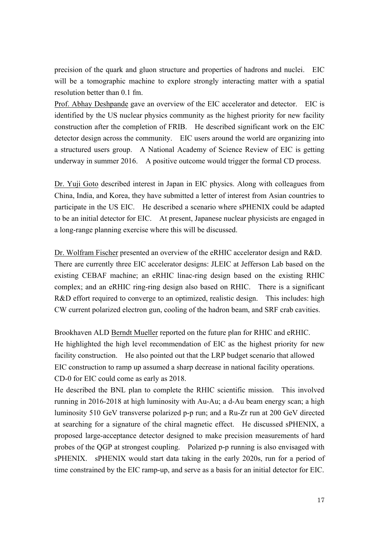precision of the quark and gluon structure and properties of hadrons and nuclei. EIC will be a tomographic machine to explore strongly interacting matter with a spatial resolution better than 0.1 fm.

Prof. Abhay Deshpande gave an overview of the EIC accelerator and detector. EIC is identified by the US nuclear physics community as the highest priority for new facility construction after the completion of FRIB. He described significant work on the EIC detector design across the community. EIC users around the world are organizing into a structured users group. A National Academy of Science Review of EIC is getting underway in summer 2016. A positive outcome would trigger the formal CD process.

Dr. Yuji Goto described interest in Japan in EIC physics. Along with colleagues from China, India, and Korea, they have submitted a letter of interest from Asian countries to participate in the US EIC. He described a scenario where sPHENIX could be adapted to be an initial detector for EIC. At present, Japanese nuclear physicists are engaged in a long-range planning exercise where this will be discussed.

Dr. Wolfram Fischer presented an overview of the eRHIC accelerator design and R&D. There are currently three EIC accelerator designs: JLEIC at Jefferson Lab based on the existing CEBAF machine; an eRHIC linac-ring design based on the existing RHIC complex; and an eRHIC ring-ring design also based on RHIC. There is a significant R&D effort required to converge to an optimized, realistic design. This includes: high CW current polarized electron gun, cooling of the hadron beam, and SRF crab cavities.

Brookhaven ALD Berndt Mueller reported on the future plan for RHIC and eRHIC. He highlighted the high level recommendation of EIC as the highest priority for new facility construction. He also pointed out that the LRP budget scenario that allowed EIC construction to ramp up assumed a sharp decrease in national facility operations. CD-0 for EIC could come as early as 2018.

He described the BNL plan to complete the RHIC scientific mission. This involved running in 2016-2018 at high luminosity with Au-Au; a d-Au beam energy scan; a high luminosity 510 GeV transverse polarized p-p run; and a Ru-Zr run at 200 GeV directed at searching for a signature of the chiral magnetic effect. He discussed sPHENIX, a proposed large-acceptance detector designed to make precision measurements of hard probes of the QGP at strongest coupling. Polarized p-p running is also envisaged with sPHENIX. sPHENIX would start data taking in the early 2020s, run for a period of time constrained by the EIC ramp-up, and serve as a basis for an initial detector for EIC.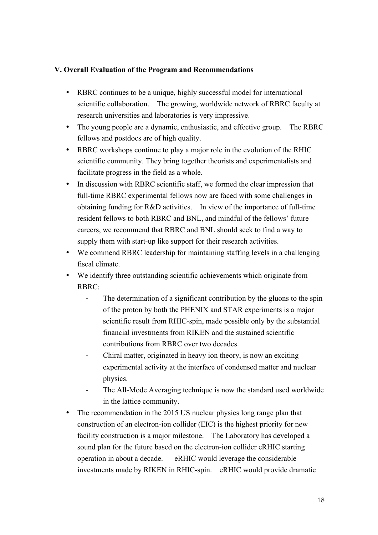# **V. Overall Evaluation of the Program and Recommendations**

- RBRC continues to be a unique, highly successful model for international scientific collaboration. The growing, worldwide network of RBRC faculty at research universities and laboratories is very impressive.
- The young people are a dynamic, enthusiastic, and effective group. The RBRC fellows and postdocs are of high quality.
- RBRC workshops continue to play a major role in the evolution of the RHIC scientific community. They bring together theorists and experimentalists and facilitate progress in the field as a whole.
- In discussion with RBRC scientific staff, we formed the clear impression that full-time RBRC experimental fellows now are faced with some challenges in obtaining funding for R&D activities. In view of the importance of full-time resident fellows to both RBRC and BNL, and mindful of the fellows' future careers, we recommend that RBRC and BNL should seek to find a way to supply them with start-up like support for their research activities.
- We commend RBRC leadership for maintaining staffing levels in a challenging fiscal climate.
- We identify three outstanding scientific achievements which originate from RBRC:
	- The determination of a significant contribution by the gluons to the spin of the proton by both the PHENIX and STAR experiments is a major scientific result from RHIC-spin, made possible only by the substantial financial investments from RIKEN and the sustained scientific contributions from RBRC over two decades.
	- Chiral matter, originated in heavy ion theory, is now an exciting experimental activity at the interface of condensed matter and nuclear physics.
	- The All-Mode Averaging technique is now the standard used worldwide in the lattice community.
- The recommendation in the 2015 US nuclear physics long range plan that construction of an electron-ion collider (EIC) is the highest priority for new facility construction is a major milestone. The Laboratory has developed a sound plan for the future based on the electron-ion collider eRHIC starting operation in about a decade. eRHIC would leverage the considerable investments made by RIKEN in RHIC-spin. eRHIC would provide dramatic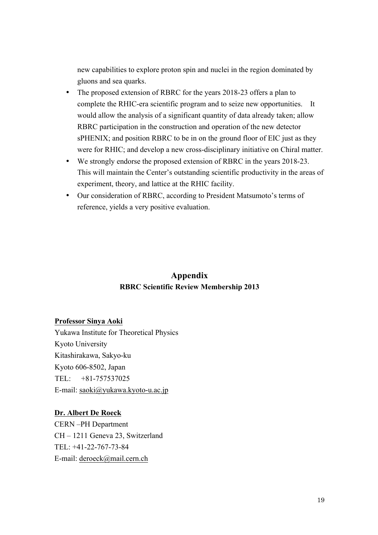new capabilities to explore proton spin and nuclei in the region dominated by gluons and sea quarks.

- The proposed extension of RBRC for the years 2018-23 offers a plan to complete the RHIC-era scientific program and to seize new opportunities. It would allow the analysis of a significant quantity of data already taken; allow RBRC participation in the construction and operation of the new detector sPHENIX; and position RBRC to be in on the ground floor of EIC just as they were for RHIC; and develop a new cross-disciplinary initiative on Chiral matter.
- We strongly endorse the proposed extension of RBRC in the years 2018-23. This will maintain the Center's outstanding scientific productivity in the areas of experiment, theory, and lattice at the RHIC facility.
- Our consideration of RBRC, according to President Matsumoto's terms of reference, yields a very positive evaluation.

# **Appendix RBRC Scientific Review Membership 2013**

## **Professor Sinya Aoki**

Yukawa Institute for Theoretical Physics Kyoto University Kitashirakawa, Sakyo-ku Kyoto 606-8502, Japan TEL: +81-757537025 E-mail: saoki@yukawa.kyoto-u.ac.jp

## **Dr. Albert De Roeck**

CERN –PH Department CH – 1211 Geneva 23, Switzerland TEL: +41-22-767-73-84 E-mail: deroeck@mail.cern.ch